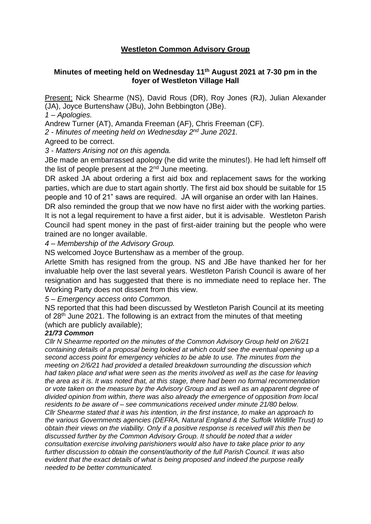## **Westleton Common Advisory Group**

## **Minutes of meeting held on Wednesday 11th August 2021 at 7-30 pm in the foyer of Westleton Village Hall**

Present; Nick Shearme (NS), David Rous (DR), Roy Jones (RJ), Julian Alexander (JA), Joyce Burtenshaw (JBu), John Bebbington (JBe).

*1 – Apologies.*

Andrew Turner (AT), Amanda Freeman (AF), Chris Freeman (CF).

2 - Minutes of meeting held on Wednesday 2<sup>nd</sup> June 2021.

Agreed to be correct.

*3 - Matters Arising not on this agenda.*

JBe made an embarrassed apology (he did write the minutes!). He had left himself off the list of people present at the  $2<sup>nd</sup>$  June meeting.

DR asked JA about ordering a first aid box and replacement saws for the working parties, which are due to start again shortly. The first aid box should be suitable for 15 people and 10 of 21" saws are required. JA will organise an order with Ian Haines.

DR also reminded the group that we now have no first aider with the working parties. It is not a legal requirement to have a first aider, but it is advisable. Westleton Parish Council had spent money in the past of first-aider training but the people who were trained are no longer available.

*4 – Membership of the Advisory Group.*

NS welcomed Joyce Burtenshaw as a member of the group.

Arlette Smith has resigned from the group. NS and JBe have thanked her for her invaluable help over the last several years. Westleton Parish Council is aware of her resignation and has suggested that there is no immediate need to replace her. The Working Party does not dissent from this view.

*5 – Emergency access onto Common.*

NS reported that this had been discussed by Westleton Parish Council at its meeting of 28<sup>th</sup> June 2021. The following is an extract from the minutes of that meeting (which are publicly available);

## *21/73 Common*

*Cllr N Shearme reported on the minutes of the Common Advisory Group held on 2/6/21 containing details of a proposal being looked at which could see the eventual opening up a second access point for emergency vehicles to be able to use. The minutes from the meeting on 2/6/21 had provided a detailed breakdown surrounding the discussion which had taken place and what were seen as the merits involved as well as the case for leaving the area as it is. It was noted that, at this stage, there had been no formal recommendation or vote taken on the measure by the Advisory Group and as well as an apparent degree of divided opinion from within, there was also already the emergence of opposition from local residents to be aware of – see communications received under minute 21/80 below. Cllr Shearme stated that it was his intention, in the first instance, to make an approach to the various Governments agencies (DEFRA, Natural England & the Suffolk Wildlife Trust) to obtain their views on the viability. Only if a positive response is received will this then be discussed further by the Common Advisory Group. It should be noted that a wider consultation exercise involving parishioners would also have to take place prior to any further discussion to obtain the consent/authority of the full Parish Council. It was also evident that the exact details of what is being proposed and indeed the purpose really needed to be better communicated.*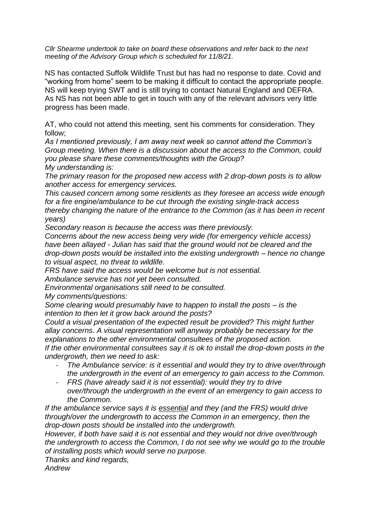*Cllr Shearme undertook to take on board these observations and refer back to the next meeting of the Advisory Group which is scheduled for 11/8/21.*

NS has contacted Suffolk Wildlife Trust but has had no response to date. Covid and "working from home" seem to be making it difficult to contact the appropriate people. NS will keep trying SWT and is still trying to contact Natural England and DEFRA. As NS has not been able to get in touch with any of the relevant advisors very little progress has been made.

AT, who could not attend this meeting, sent his comments for consideration. They follow;

*As I mentioned previously, I am away next week so cannot attend the Common's Group meeting. When there is a discussion about the access to the Common, could you please share these comments/thoughts with the Group? My understanding is:*

*The primary reason for the proposed new access with 2 drop-down posts is to allow another access for emergency services.*

*This caused concern among some residents as they foresee an access wide enough for a fire engine/ambulance to be cut through the existing single-track access thereby changing the nature of the entrance to the Common (as it has been in recent years)*

*Secondary reason is because the access was there previously.*

*Concerns about the new access being very wide (for emergency vehicle access) have been allayed - Julian has said that the ground would not be cleared and the drop-down posts would be installed into the existing undergrowth – hence no change to visual aspect, no threat to wildlife.* 

*FRS have said the access would be welcome but is not essential.*

*Ambulance service has not yet been consulted.*

*Environmental organisations still need to be consulted.*

*My comments/questions:*

*Some clearing would presumably have to happen to install the posts – is the intention to then let it grow back around the posts?* 

*Could a visual presentation of the expected result be provided? This might further allay concerns. A visual representation will anyway probably be necessary for the explanations to the other environmental consultees of the proposed action.*

*If the other environmental consultees say it is ok to install the drop-down posts in the undergrowth, then we need to ask:*

- *The Ambulance service: is it essential and would they try to drive over/through the undergrowth in the event of an emergency to gain access to the Common.*
- *FRS (have already said it is not essential): would they try to drive over/through the undergrowth in the event of an emergency to gain access to the Common.*

*If the ambulance service says it is essential and they (and the FRS) would drive through/over the undergrowth to access the Common in an emergency, then the drop-down posts should be installed into the undergrowth.* 

*However, if both have said it is not essential and they would not drive over/through the undergrowth to access the Common, I do not see why we would go to the trouble of installing posts which would serve no purpose.* 

*Thanks and kind regards,*

*Andrew*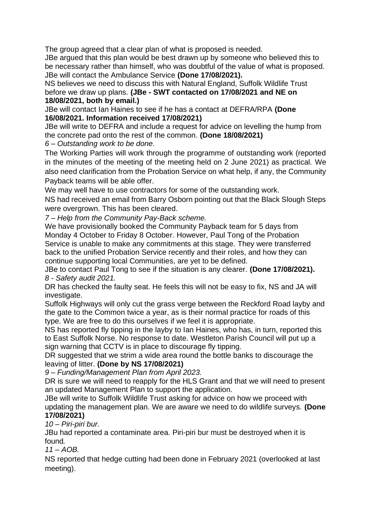The group agreed that a clear plan of what is proposed is needed.

JBe argued that this plan would be best drawn up by someone who believed this to be necessary rather than himself, who was doubtful of the value of what is proposed. JBe will contact the Ambulance Service **(Done 17/08/2021).**

NS believes we need to discuss this with Natural England, Suffolk Wildlife Trust before we draw up plans. **(JBe - SWT contacted on 17/08/2021 and NE on 18/08/2021, both by email.)**

JBe will contact Ian Haines to see if he has a contact at DEFRA/RPA **(Done 16/08/2021. Information received 17/08/2021)**

JBe will write to DEFRA and include a request for advice on levelling the hump from the concrete pad onto the rest of the common. **(Done 18/08/2021)**

*6 – Outstanding work to be done.*

The Working Parties will work through the programme of outstanding work (reported in the minutes of the meeting of the meeting held on 2 June 2021) as practical. We also need clarification from the Probation Service on what help, if any, the Community Payback teams will be able offer.

We may well have to use contractors for some of the outstanding work.

NS had received an email from Barry Osborn pointing out that the Black Slough Steps were overgrown. This has been cleared.

*7 – Help from the Community Pay-Back scheme.*

We have provisionally booked the Community Payback team for 5 days from Monday 4 October to Friday 8 October. However, Paul Tong of the Probation Service is unable to make any commitments at this stage. They were transferred back to the unified Probation Service recently and their roles, and how they can continue supporting local Communities, are yet to be defined.

JBe to contact Paul Tong to see if the situation is any clearer. **(Done 17/08/2021).** *8 - Safety audit 2021.*

DR has checked the faulty seat. He feels this will not be easy to fix, NS and JA will investigate.

Suffolk Highways will only cut the grass verge between the Reckford Road layby and the gate to the Common twice a year, as is their normal practice for roads of this type. We are free to do this ourselves if we feel it is appropriate.

NS has reported fly tipping in the layby to Ian Haines, who has, in turn, reported this to East Suffolk Norse. No response to date. Westleton Parish Council will put up a sign warning that CCTV is in place to discourage fly tipping.

DR suggested that we strim a wide area round the bottle banks to discourage the leaving of litter. **(Done by NS 17/08/2021)**

*9 – Funding/Management Plan from April 2023.*

DR is sure we will need to reapply for the HLS Grant and that we will need to present an updated Management Plan to support the application.

JBe will write to Suffolk Wildlife Trust asking for advice on how we proceed with updating the management plan. We are aware we need to do wildlife surveys. **(Done 17/08/2021)**

## *10 – Piri-piri bur.*

JBu had reported a contaminate area. Piri-piri bur must be destroyed when it is found*.*

*11 – AOB.*

NS reported that hedge cutting had been done in February 2021 (overlooked at last meeting).